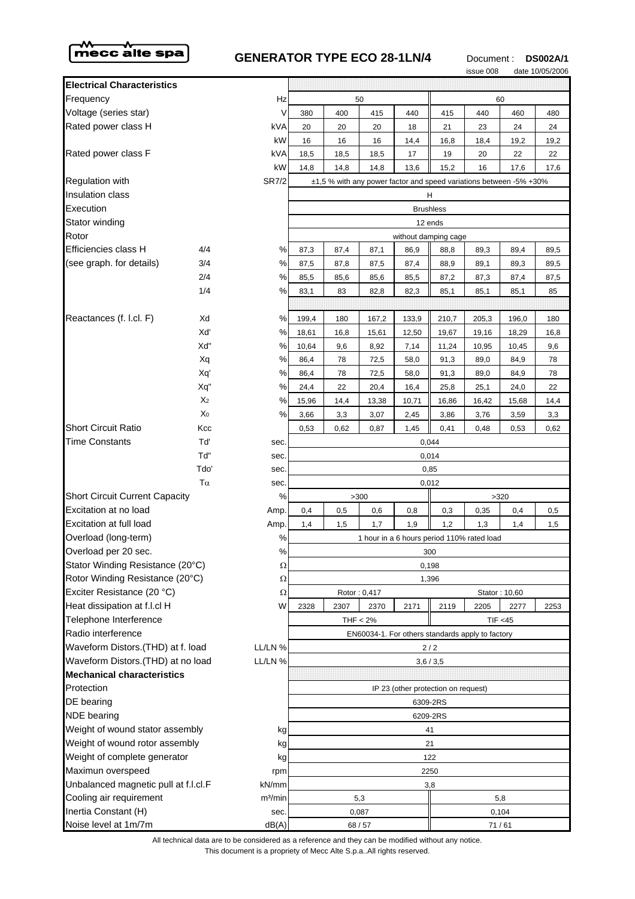

## **GENERATOR TYPE ECO 28-1LN/4** Document: DS002A/1



|                                              |                |                                                  |                                            |       |                                                                    |       |                                     | issue 008 |               | date 10/05/2006 |
|----------------------------------------------|----------------|--------------------------------------------------|--------------------------------------------|-------|--------------------------------------------------------------------|-------|-------------------------------------|-----------|---------------|-----------------|
| <b>Electrical Characteristics</b>            |                |                                                  |                                            |       |                                                                    |       |                                     |           |               |                 |
| Frequency                                    |                | Hz                                               |                                            |       | 50                                                                 |       |                                     | 60        |               |                 |
| Voltage (series star)                        |                | V                                                | 380                                        | 400   | 415                                                                | 440   | 415                                 | 440       | 460           | 480             |
| Rated power class H                          |                | kVA                                              | 20                                         | 20    | 20                                                                 | 18    | 21                                  | 23        | 24            | 24              |
|                                              |                | kW                                               | 16                                         | 16    | 16                                                                 | 14,4  | 16,8                                | 18,4      | 19,2          | 19,2            |
| Rated power class F                          |                | kVA                                              | 18,5                                       | 18,5  | 18,5                                                               | 17    | 19                                  | 20        | 22            | 22              |
|                                              |                | kW                                               | 14,8                                       | 14,8  | 14,8                                                               | 13,6  | 15,2                                | 16        | 17,6          | 17,6            |
| <b>Regulation with</b>                       |                | <b>SR7/2</b>                                     |                                            |       | ±1,5 % with any power factor and speed variations between -5% +30% |       |                                     |           |               |                 |
| <b>Insulation class</b>                      |                |                                                  | н                                          |       |                                                                    |       |                                     |           |               |                 |
| Execution                                    |                | <b>Brushless</b>                                 |                                            |       |                                                                    |       |                                     |           |               |                 |
| Stator winding                               |                |                                                  | 12 ends                                    |       |                                                                    |       |                                     |           |               |                 |
| Rotor                                        |                |                                                  | without damping cage                       |       |                                                                    |       |                                     |           |               |                 |
| Efficiencies class H                         | 4/4            | %                                                | 87,3                                       | 87,4  | 87,1                                                               | 86,9  | 88,8                                | 89,3      | 89,4          | 89,5            |
| (see graph. for details)                     | 3/4            | $\%$                                             | 87,5                                       | 87,8  | 87,5                                                               | 87,4  | 88,9                                | 89,1      | 89,3          | 89,5            |
|                                              | 2/4            | %                                                | 85,5                                       | 85,6  | 85,6                                                               | 85,5  | 87,2                                | 87,3      | 87,4          | 87,5            |
|                                              | 1/4            | %                                                | 83,1                                       | 83    | 82,8                                                               | 82,3  | 85,1                                | 85,1      | 85,1          | 85              |
|                                              |                |                                                  |                                            |       |                                                                    |       |                                     |           |               |                 |
| Reactances (f. l.cl. F)                      | Xd             | %                                                | 199,4                                      | 180   | 167,2                                                              | 133,9 | 210,7                               | 205,3     | 196,0         | 180             |
|                                              | Xď             | ℅                                                | 18,61                                      | 16,8  | 15,61                                                              | 12,50 | 19,67                               | 19,16     | 18,29         | 16,8            |
|                                              | Xď             | %                                                | 10,64                                      | 9,6   | 8,92                                                               | 7,14  | 11,24                               | 10,95     | 10,45         | 9,6             |
|                                              | Xq             | $\%$                                             | 86,4                                       | 78    | 72,5                                                               | 58,0  | 91,3                                | 89,0      | 84,9          | 78              |
|                                              | Xq'            | %                                                | 86,4                                       | 78    | 72,5                                                               | 58,0  | 91,3                                | 89,0      | 84,9          | 78              |
|                                              | Xq"            | $\%$                                             | 24,4                                       | 22    | 20,4                                                               | 16,4  | 25,8                                | 25,1      | 24,0          | 22              |
|                                              | X <sub>2</sub> | $\%$                                             | 15,96                                      | 14,4  | 13,38                                                              | 10,71 | 16,86                               | 16,42     | 15,68         | 14,4            |
|                                              | Χo             | %                                                | 3,66                                       | 3,3   | 3,07                                                               | 2,45  | 3,86                                | 3,76      | 3,59          | 3,3             |
| <b>Short Circuit Ratio</b>                   | Kcc            |                                                  | 0,53                                       | 0,62  | 0,87                                                               | 1,45  | 0,41                                | 0,48      | 0,53          | 0,62            |
| <b>Time Constants</b>                        | Tď             | sec.                                             |                                            | 0,044 |                                                                    |       |                                     |           |               |                 |
|                                              | Td"            | sec.                                             | 0,014                                      |       |                                                                    |       |                                     |           |               |                 |
|                                              | Tdo'           | sec.                                             | 0,85                                       |       |                                                                    |       |                                     |           |               |                 |
| $T\alpha$                                    |                | sec.                                             | 0,012                                      |       |                                                                    |       |                                     |           |               |                 |
| <b>Short Circuit Current Capacity</b>        |                | %                                                | >300<br>>320                               |       |                                                                    |       |                                     |           |               |                 |
| Excitation at no load                        |                | Amp.                                             | 0,4                                        | 0,5   | 0,6                                                                | 0,8   | 0,3                                 | 0,35      | 0,4           | 0,5             |
| Excitation at full load                      |                | Amp.                                             | 1,4                                        | 1,5   | 1,7                                                                | 1,9   | 1,2                                 | 1,3       | 1,4           | 1,5             |
| Overload (long-term)                         |                | %                                                | 1 hour in a 6 hours period 110% rated load |       |                                                                    |       |                                     |           |               |                 |
| Overload per 20 sec.<br>℅                    |                | 300                                              |                                            |       |                                                                    |       |                                     |           |               |                 |
| Stator Winding Resistance (20°C)<br>$\Omega$ |                | 0,198                                            |                                            |       |                                                                    |       |                                     |           |               |                 |
| Rotor Winding Resistance (20°C)              |                | Ω                                                | 1,396                                      |       |                                                                    |       |                                     |           |               |                 |
| Exciter Resistance (20 °C)                   |                | Ω                                                |                                            |       | Rotor: 0,417                                                       |       |                                     |           | Stator: 10,60 |                 |
| Heat dissipation at f.l.cl H                 |                | W                                                | 2328                                       | 2307  | 2370                                                               | 2171  | 2119                                | 2205      | 2277          | 2253            |
| Telephone Interference                       |                |                                                  | THF $<$ 2%<br>TIF < 45                     |       |                                                                    |       |                                     |           |               |                 |
| Radio interference                           |                | EN60034-1. For others standards apply to factory |                                            |       |                                                                    |       |                                     |           |               |                 |
| Waveform Distors.(THD) at f. load<br>LL/LN % |                | $2/2$                                            |                                            |       |                                                                    |       |                                     |           |               |                 |
| Waveform Distors.(THD) at no load<br>LL/LN % |                | 3,6/3,5                                          |                                            |       |                                                                    |       |                                     |           |               |                 |
| <b>Mechanical characteristics</b>            |                |                                                  |                                            |       |                                                                    |       |                                     |           |               |                 |
| Protection                                   |                |                                                  |                                            |       |                                                                    |       | IP 23 (other protection on request) |           |               |                 |
| DE bearing                                   |                | 6309-2RS                                         |                                            |       |                                                                    |       |                                     |           |               |                 |
| <b>NDE</b> bearing                           |                | 6209-2RS                                         |                                            |       |                                                                    |       |                                     |           |               |                 |
| Weight of wound stator assembly<br>kg        |                | 41                                               |                                            |       |                                                                    |       |                                     |           |               |                 |
| Weight of wound rotor assembly<br>kg         |                | 21                                               |                                            |       |                                                                    |       |                                     |           |               |                 |
| Weight of complete generator<br>kg           |                | 122                                              |                                            |       |                                                                    |       |                                     |           |               |                 |
| Maximun overspeed<br>rpm                     |                | 2250                                             |                                            |       |                                                                    |       |                                     |           |               |                 |
| Unbalanced magnetic pull at f.l.cl.F         |                | kN/mm                                            | 3,8                                        |       |                                                                    |       |                                     |           |               |                 |
| Cooling air requirement                      |                | m <sup>3</sup> /min                              | 5,3<br>5,8                                 |       |                                                                    |       |                                     |           |               |                 |
| Inertia Constant (H)                         |                | sec.                                             | 0,087                                      |       |                                                                    | 0,104 |                                     |           |               |                 |
| Noise level at 1m/7m                         |                | dB(A)                                            | 68 / 57                                    |       |                                                                    |       | 71/61                               |           |               |                 |

This document is a propriety of Mecc Alte S.p.a..All rights reserved. All technical data are to be considered as a reference and they can be modified without any notice.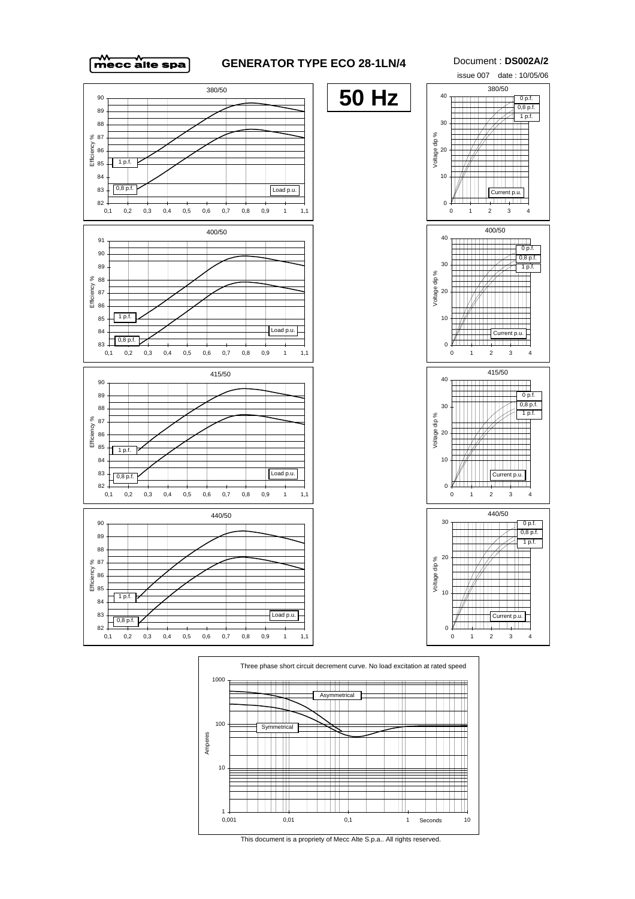

## **GENERATOR TYPE ECO 28-1LN/4** Document : **DS002A/2**





This document is a propriety of Mecc Alte S.p.a.. All rights reserved.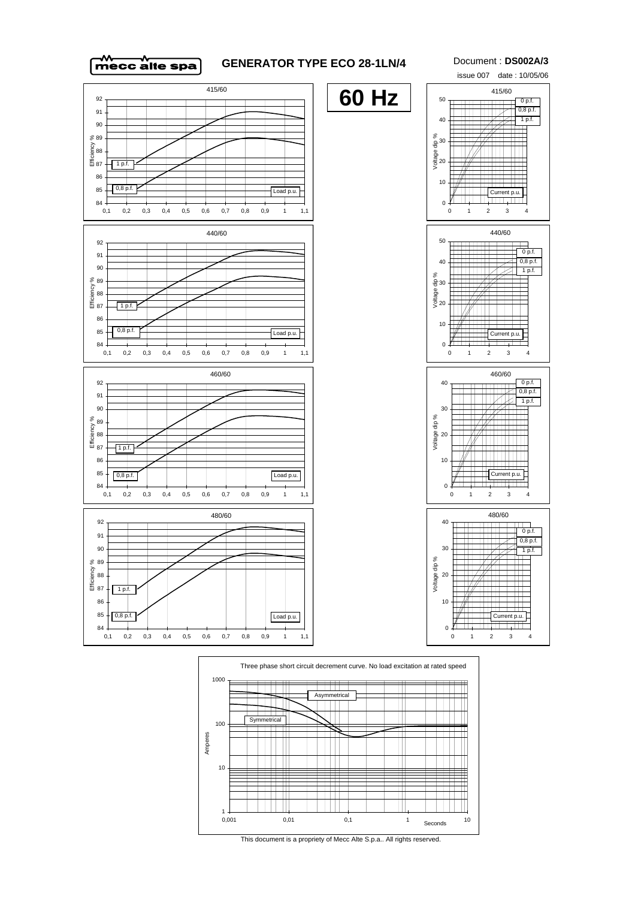

## **GENERATOR TYPE ECO 28-1LN/4** Document : **DS002A/3**





This document is a propriety of Mecc Alte S.p.a.. All rights reserved.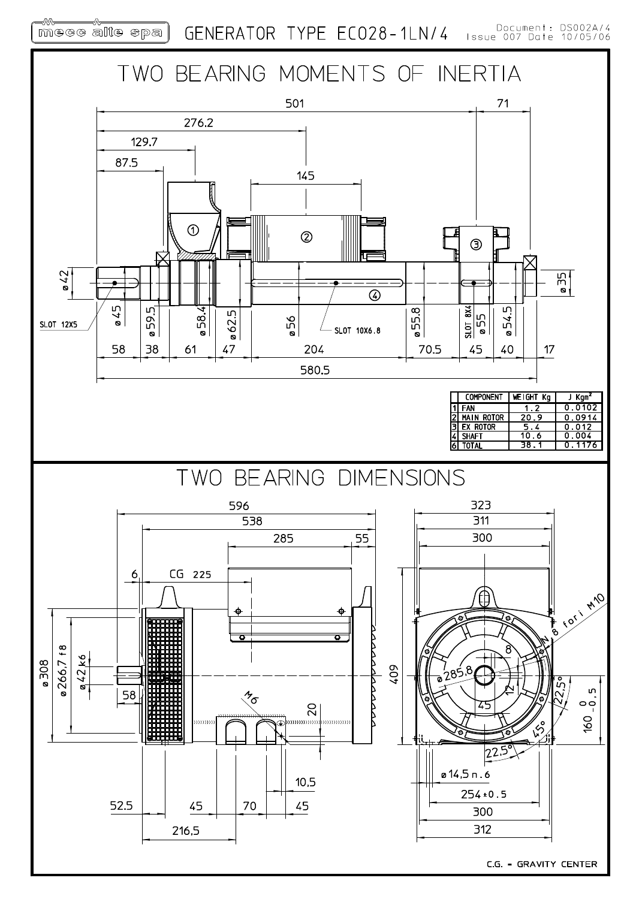